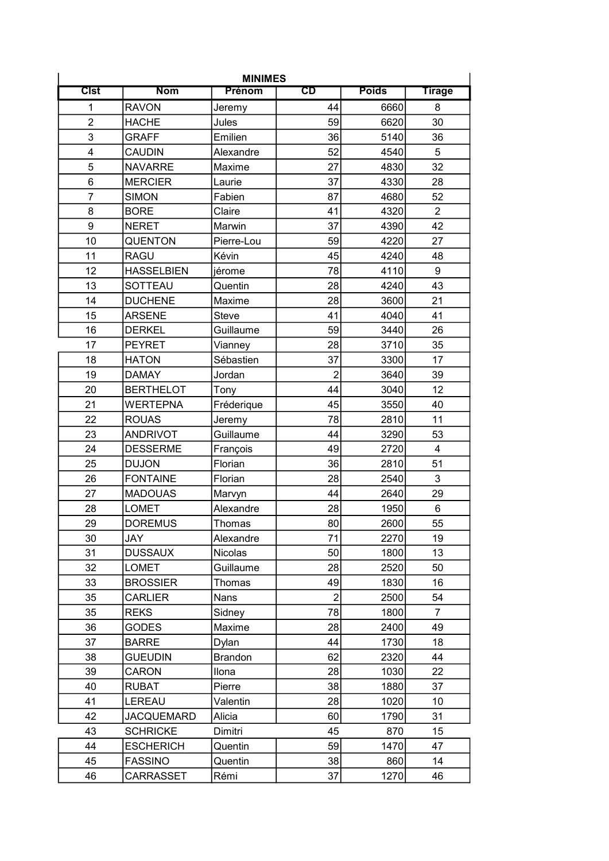| <b>MINIMES</b>          |                   |                |                          |              |                         |  |  |  |
|-------------------------|-------------------|----------------|--------------------------|--------------|-------------------------|--|--|--|
| <b>Clst</b>             | <b>Nom</b>        | Prénom         | $\overline{\texttt{CD}}$ | <b>Poids</b> | <b>Tirage</b>           |  |  |  |
| 1                       | <b>RAVON</b>      | Jeremy         | 44                       | 6660         | 8                       |  |  |  |
| $\overline{2}$          | <b>HACHE</b>      | Jules          | 59                       | 6620         | 30                      |  |  |  |
| 3                       | <b>GRAFF</b>      | Emilien        | 36                       | 5140         | 36                      |  |  |  |
| $\overline{\mathbf{4}}$ | <b>CAUDIN</b>     | Alexandre      | 52                       | 4540         | 5                       |  |  |  |
| 5                       | <b>NAVARRE</b>    | Maxime         | 27                       | 4830         | 32                      |  |  |  |
| 6                       | <b>MERCIER</b>    | Laurie         | 37                       | 4330         | 28                      |  |  |  |
| $\overline{7}$          | <b>SIMON</b>      | Fabien         | 87                       | 4680         | 52                      |  |  |  |
| 8                       | <b>BORE</b>       | Claire         | 41                       | 4320         | $\overline{2}$          |  |  |  |
| 9                       | <b>NERET</b>      | Marwin         | 37                       | 4390         | 42                      |  |  |  |
| 10                      | <b>QUENTON</b>    | Pierre-Lou     | 59                       | 4220         | 27                      |  |  |  |
| 11                      | <b>RAGU</b>       | Kévin          | 45                       | 4240         | 48                      |  |  |  |
| 12                      | <b>HASSELBIEN</b> | jérome         | 78                       | 4110         | 9                       |  |  |  |
| 13                      | SOTTEAU           | Quentin        | 28                       | 4240         | 43                      |  |  |  |
| 14                      | <b>DUCHENE</b>    | Maxime         | 28                       | 3600         | 21                      |  |  |  |
| 15                      | <b>ARSENE</b>     | <b>Steve</b>   | 41                       | 4040         | 41                      |  |  |  |
| 16                      | <b>DERKEL</b>     | Guillaume      | 59                       | 3440         | 26                      |  |  |  |
| 17                      | <b>PEYRET</b>     | Vianney        | 28                       | 3710         | 35                      |  |  |  |
| 18                      | <b>HATON</b>      | Sébastien      | 37                       | 3300         | 17                      |  |  |  |
| 19                      | <b>DAMAY</b>      | Jordan         | $\overline{2}$           | 3640         | 39                      |  |  |  |
| 20                      | <b>BERTHELOT</b>  | Tony           | 44                       | 3040         | 12                      |  |  |  |
| 21                      | <b>WERTEPNA</b>   | Fréderique     | 45                       | 3550         | 40                      |  |  |  |
| 22                      | <b>ROUAS</b>      | Jeremy         | 78                       | 2810         | 11                      |  |  |  |
| 23                      | <b>ANDRIVOT</b>   | Guillaume      | 44                       | 3290         | 53                      |  |  |  |
| 24                      | <b>DESSERME</b>   | François       | 49                       | 2720         | $\overline{\mathbf{4}}$ |  |  |  |
| 25                      | <b>DUJON</b>      | Florian        | 36                       | 2810         | 51                      |  |  |  |
| 26                      | <b>FONTAINE</b>   | Florian        | 28                       | 2540         | 3                       |  |  |  |
| 27                      | <b>MADOUAS</b>    | Marvyn         | 44                       | 2640         | 29                      |  |  |  |
| 28                      | <b>LOMET</b>      | Alexandre      | 28                       | 1950         | 6                       |  |  |  |
| 29                      | <b>DOREMUS</b>    | Thomas         | 80                       | 2600         | 55                      |  |  |  |
| 30                      | <b>JAY</b>        | Alexandre      | 71                       | 2270         | 19                      |  |  |  |
| 31                      | <b>DUSSAUX</b>    | Nicolas        | 50                       | 1800         | 13                      |  |  |  |
| 32                      | <b>LOMET</b>      | Guillaume      | 28                       | 2520         | 50                      |  |  |  |
| 33                      | <b>BROSSIER</b>   | Thomas         | 49                       | 1830         | 16                      |  |  |  |
| 35                      | <b>CARLIER</b>    | Nans           | $\overline{2}$           | 2500         | 54                      |  |  |  |
| 35                      | <b>REKS</b>       | Sidney         | 78                       | 1800         | 7                       |  |  |  |
| 36                      | <b>GODES</b>      | Maxime         | 28                       | 2400         | 49                      |  |  |  |
| 37                      | <b>BARRE</b>      | Dylan          | 44                       | 1730         | 18                      |  |  |  |
| 38                      | <b>GUEUDIN</b>    | <b>Brandon</b> | 62                       | 2320         | 44                      |  |  |  |
| 39                      | <b>CARON</b>      | Ilona          | 28                       | 1030         | 22                      |  |  |  |
| 40                      | <b>RUBAT</b>      | Pierre         | 38                       | 1880         | 37                      |  |  |  |
| 41                      | LEREAU            | Valentin       | 28                       | 1020         | 10                      |  |  |  |
| 42                      | <b>JACQUEMARD</b> | Alicia         | 60                       | 1790         | 31                      |  |  |  |
| 43                      | <b>SCHRICKE</b>   | Dimitri        | 45                       | 870          | 15                      |  |  |  |
| 44                      | <b>ESCHERICH</b>  | Quentin        | 59                       | 1470         | 47                      |  |  |  |
| 45                      | <b>FASSINO</b>    | Quentin        | 38                       | 860          | 14                      |  |  |  |
| 46                      | CARRASSET         | Rémi           | 37                       | 1270         | 46                      |  |  |  |